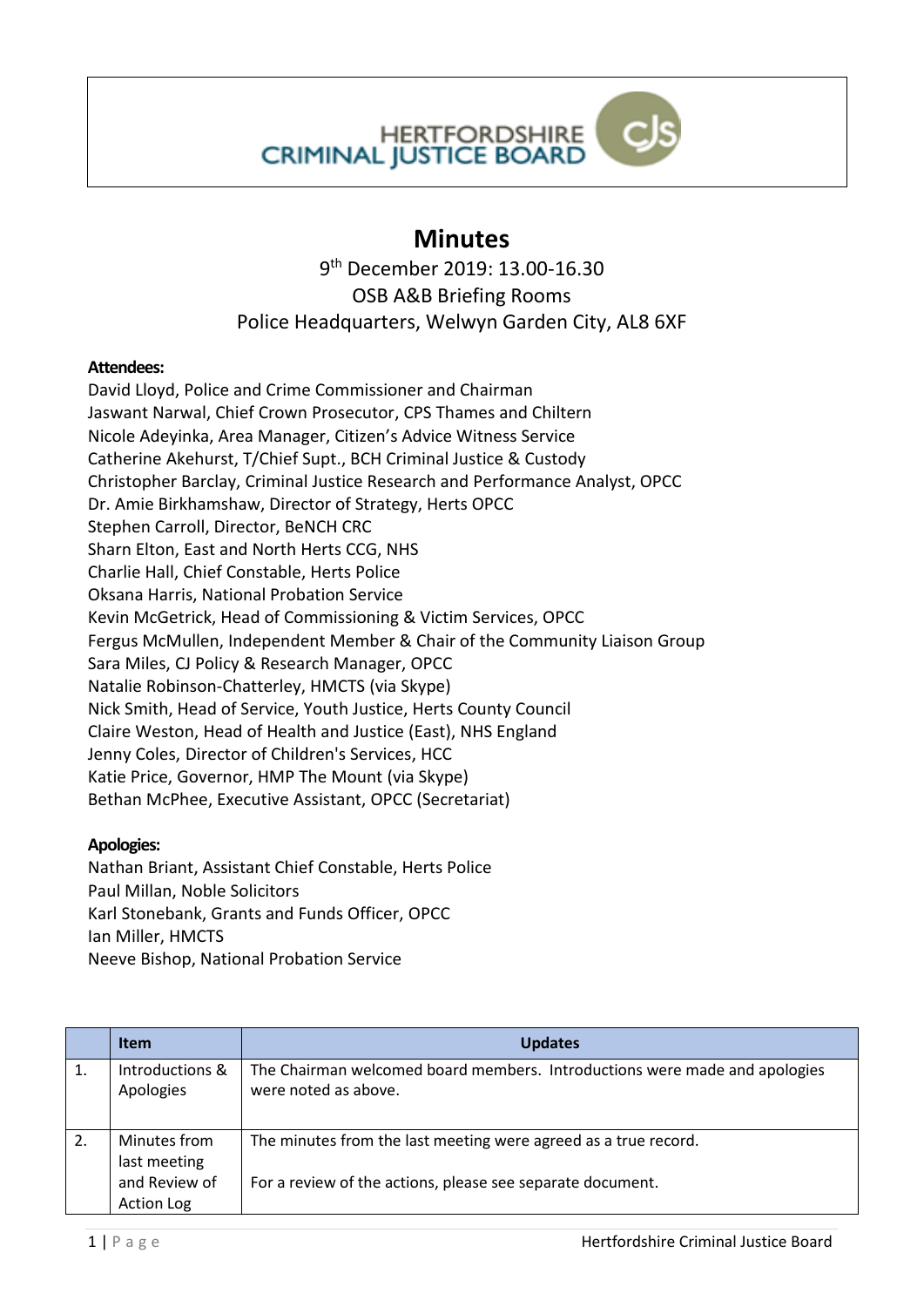**HERTFORDSHIRE CRIMINAL JUSTICE BOARD** 

## **Minutes**

9 th December 2019: 13.00-16.30 OSB A&B Briefing Rooms Police Headquarters, Welwyn Garden City, AL8 6XF

## **Attendees:**

David Lloyd, Police and Crime Commissioner and Chairman Jaswant Narwal, Chief Crown Prosecutor, CPS Thames and Chiltern Nicole Adeyinka, Area Manager, Citizen's Advice Witness Service Catherine Akehurst, T/Chief Supt., BCH Criminal Justice & Custody Christopher Barclay, Criminal Justice Research and Performance Analyst, OPCC Dr. Amie Birkhamshaw, Director of Strategy, Herts OPCC Stephen Carroll, Director, BeNCH CRC Sharn Elton, East and North Herts CCG, NHS Charlie Hall, Chief Constable, Herts Police Oksana Harris, National Probation Service Kevin McGetrick, Head of Commissioning & Victim Services, OPCC Fergus McMullen, Independent Member & Chair of the Community Liaison Group Sara Miles, CJ Policy & Research Manager, OPCC Natalie Robinson-Chatterley, HMCTS (via Skype) Nick Smith, Head of Service, Youth Justice, Herts County Council Claire Weston, Head of Health and Justice (East), NHS England Jenny Coles, Director of Children's Services, HCC Katie Price, Governor, HMP The Mount (via Skype) Bethan McPhee, Executive Assistant, OPCC (Secretariat)

## **Apologies:**

Nathan Briant, Assistant Chief Constable, Herts Police Paul Millan, Noble Solicitors Karl Stonebank, Grants and Funds Officer, OPCC Ian Miller, HMCTS Neeve Bishop, National Probation Service

|    | <b>Item</b>                                                        | <b>Updates</b>                                                                                                                |
|----|--------------------------------------------------------------------|-------------------------------------------------------------------------------------------------------------------------------|
| 1. | Introductions &<br>Apologies                                       | The Chairman welcomed board members. Introductions were made and apologies<br>were noted as above.                            |
| 2. | Minutes from<br>last meeting<br>and Review of<br><b>Action Log</b> | The minutes from the last meeting were agreed as a true record.<br>For a review of the actions, please see separate document. |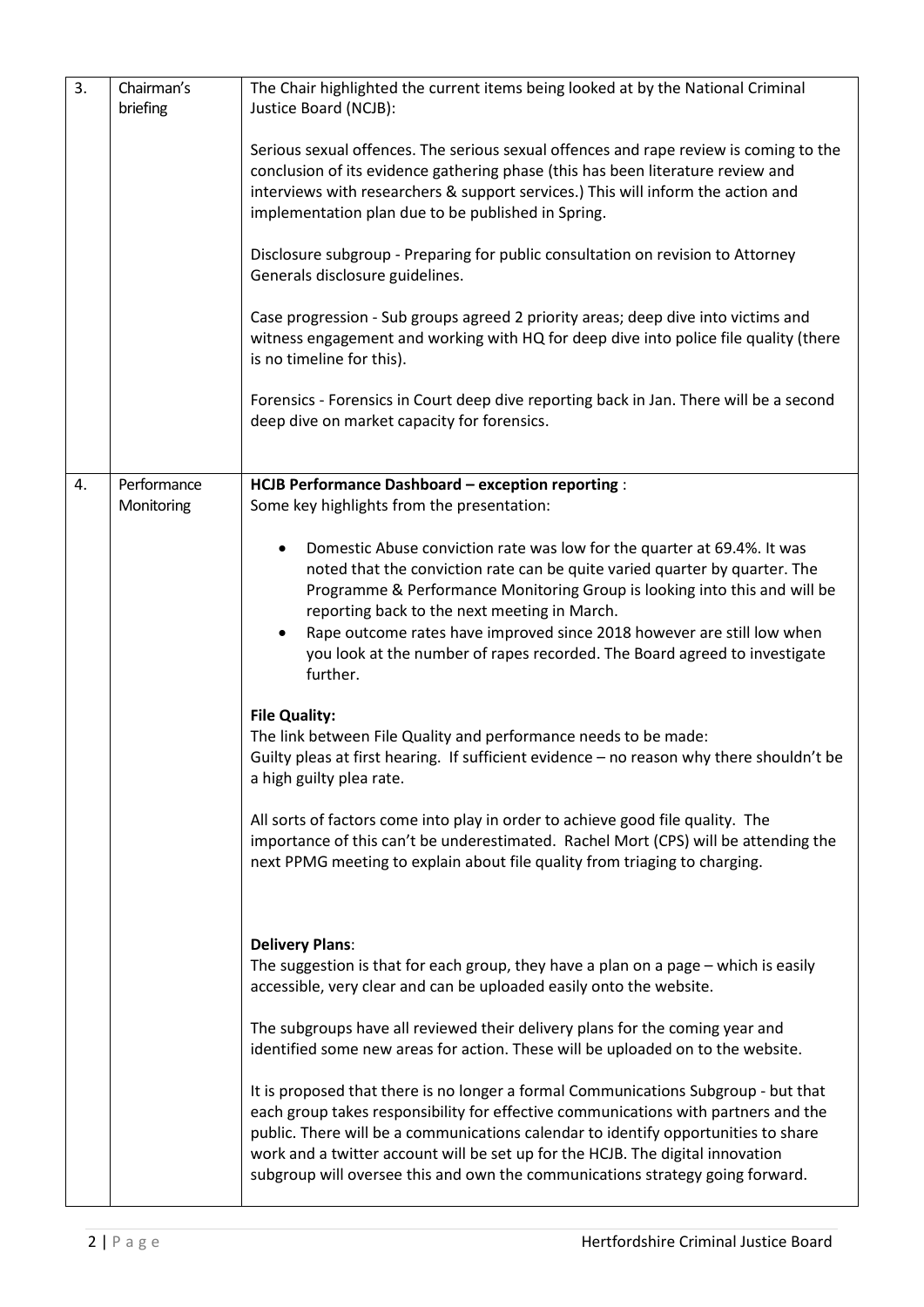| 3. | Chairman's<br>briefing    | The Chair highlighted the current items being looked at by the National Criminal<br>Justice Board (NCJB):                                                                                                                                                                                                                                                                                                                                                                                                                                                                                                                                                                                                                                                                                                                                                                                                                                    |
|----|---------------------------|----------------------------------------------------------------------------------------------------------------------------------------------------------------------------------------------------------------------------------------------------------------------------------------------------------------------------------------------------------------------------------------------------------------------------------------------------------------------------------------------------------------------------------------------------------------------------------------------------------------------------------------------------------------------------------------------------------------------------------------------------------------------------------------------------------------------------------------------------------------------------------------------------------------------------------------------|
|    |                           | Serious sexual offences. The serious sexual offences and rape review is coming to the<br>conclusion of its evidence gathering phase (this has been literature review and<br>interviews with researchers & support services.) This will inform the action and<br>implementation plan due to be published in Spring.                                                                                                                                                                                                                                                                                                                                                                                                                                                                                                                                                                                                                           |
|    |                           | Disclosure subgroup - Preparing for public consultation on revision to Attorney<br>Generals disclosure guidelines.                                                                                                                                                                                                                                                                                                                                                                                                                                                                                                                                                                                                                                                                                                                                                                                                                           |
|    |                           | Case progression - Sub groups agreed 2 priority areas; deep dive into victims and<br>witness engagement and working with HQ for deep dive into police file quality (there<br>is no timeline for this).                                                                                                                                                                                                                                                                                                                                                                                                                                                                                                                                                                                                                                                                                                                                       |
|    |                           | Forensics - Forensics in Court deep dive reporting back in Jan. There will be a second<br>deep dive on market capacity for forensics.                                                                                                                                                                                                                                                                                                                                                                                                                                                                                                                                                                                                                                                                                                                                                                                                        |
| 4. | Performance<br>Monitoring | HCJB Performance Dashboard - exception reporting :<br>Some key highlights from the presentation:                                                                                                                                                                                                                                                                                                                                                                                                                                                                                                                                                                                                                                                                                                                                                                                                                                             |
|    |                           | Domestic Abuse conviction rate was low for the quarter at 69.4%. It was<br>noted that the conviction rate can be quite varied quarter by quarter. The<br>Programme & Performance Monitoring Group is looking into this and will be<br>reporting back to the next meeting in March.<br>Rape outcome rates have improved since 2018 however are still low when<br>$\bullet$<br>you look at the number of rapes recorded. The Board agreed to investigate<br>further.<br><b>File Quality:</b><br>The link between File Quality and performance needs to be made:<br>Guilty pleas at first hearing. If sufficient evidence - no reason why there shouldn't be<br>a high guilty plea rate.<br>All sorts of factors come into play in order to achieve good file quality. The<br>importance of this can't be underestimated. Rachel Mort (CPS) will be attending the<br>next PPMG meeting to explain about file quality from triaging to charging. |
|    |                           | <b>Delivery Plans:</b><br>The suggestion is that for each group, they have a plan on a page $-$ which is easily<br>accessible, very clear and can be uploaded easily onto the website.<br>The subgroups have all reviewed their delivery plans for the coming year and<br>identified some new areas for action. These will be uploaded on to the website.<br>It is proposed that there is no longer a formal Communications Subgroup - but that                                                                                                                                                                                                                                                                                                                                                                                                                                                                                              |
|    |                           | each group takes responsibility for effective communications with partners and the<br>public. There will be a communications calendar to identify opportunities to share<br>work and a twitter account will be set up for the HCJB. The digital innovation<br>subgroup will oversee this and own the communications strategy going forward.                                                                                                                                                                                                                                                                                                                                                                                                                                                                                                                                                                                                  |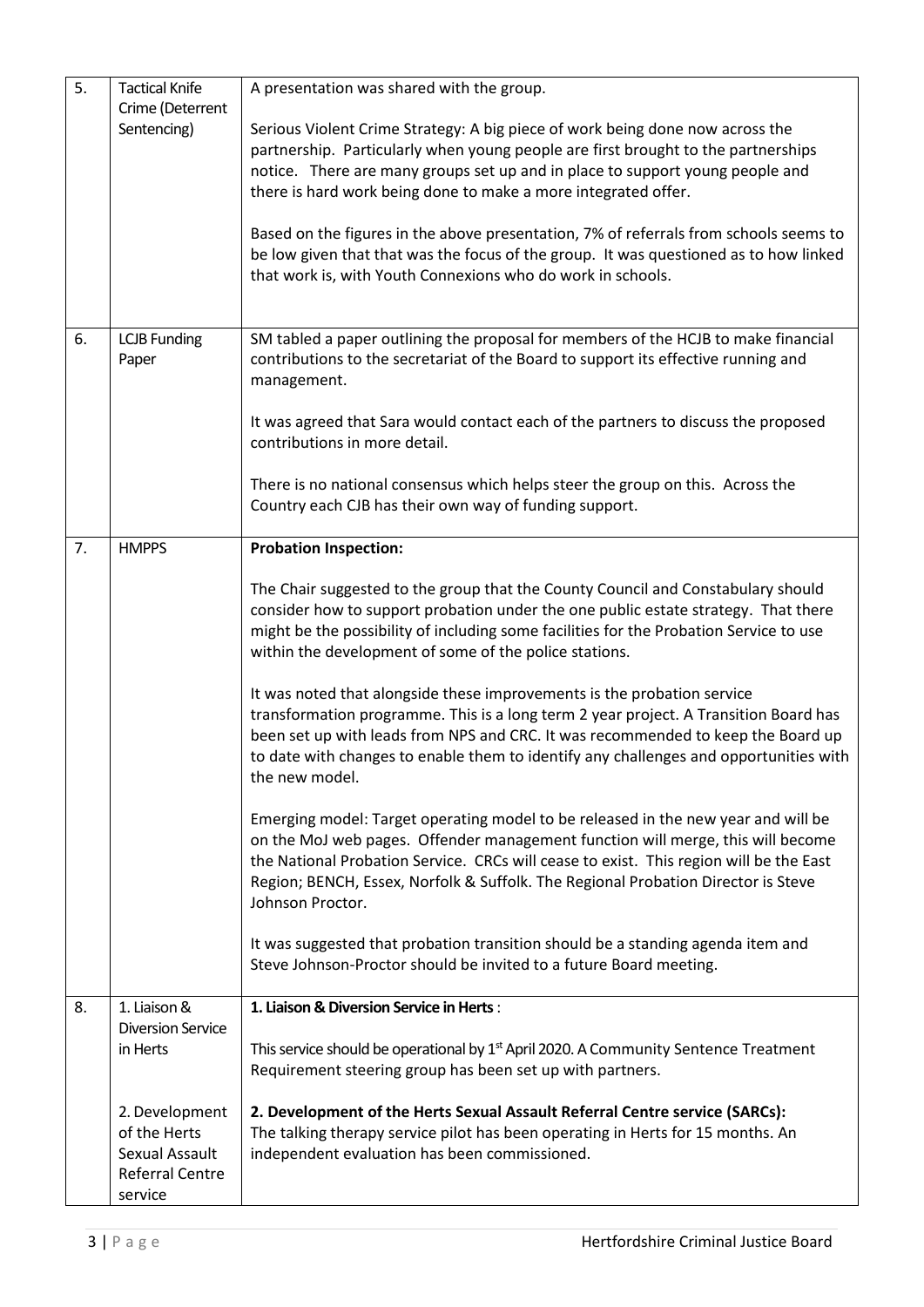| 5. | <b>Tactical Knife</b><br>Crime (Deterrent<br>Sentencing)                              | A presentation was shared with the group.<br>Serious Violent Crime Strategy: A big piece of work being done now across the<br>partnership. Particularly when young people are first brought to the partnerships<br>notice. There are many groups set up and in place to support young people and<br>there is hard work being done to make a more integrated offer.<br>Based on the figures in the above presentation, 7% of referrals from schools seems to<br>be low given that that was the focus of the group. It was questioned as to how linked<br>that work is, with Youth Connexions who do work in schools. |
|----|---------------------------------------------------------------------------------------|---------------------------------------------------------------------------------------------------------------------------------------------------------------------------------------------------------------------------------------------------------------------------------------------------------------------------------------------------------------------------------------------------------------------------------------------------------------------------------------------------------------------------------------------------------------------------------------------------------------------|
| 6. | <b>LCJB Funding</b><br>Paper                                                          | SM tabled a paper outlining the proposal for members of the HCJB to make financial<br>contributions to the secretariat of the Board to support its effective running and<br>management.                                                                                                                                                                                                                                                                                                                                                                                                                             |
|    |                                                                                       | It was agreed that Sara would contact each of the partners to discuss the proposed<br>contributions in more detail.                                                                                                                                                                                                                                                                                                                                                                                                                                                                                                 |
|    |                                                                                       | There is no national consensus which helps steer the group on this. Across the<br>Country each CJB has their own way of funding support.                                                                                                                                                                                                                                                                                                                                                                                                                                                                            |
| 7. | <b>HMPPS</b>                                                                          | <b>Probation Inspection:</b>                                                                                                                                                                                                                                                                                                                                                                                                                                                                                                                                                                                        |
|    |                                                                                       | The Chair suggested to the group that the County Council and Constabulary should<br>consider how to support probation under the one public estate strategy. That there<br>might be the possibility of including some facilities for the Probation Service to use<br>within the development of some of the police stations.                                                                                                                                                                                                                                                                                          |
|    |                                                                                       | It was noted that alongside these improvements is the probation service<br>transformation programme. This is a long term 2 year project. A Transition Board has<br>been set up with leads from NPS and CRC. It was recommended to keep the Board up<br>to date with changes to enable them to identify any challenges and opportunities with<br>the new model.                                                                                                                                                                                                                                                      |
|    |                                                                                       | Emerging model: Target operating model to be released in the new year and will be<br>on the MoJ web pages. Offender management function will merge, this will become<br>the National Probation Service. CRCs will cease to exist. This region will be the East<br>Region; BENCH, Essex, Norfolk & Suffolk. The Regional Probation Director is Steve<br>Johnson Proctor.                                                                                                                                                                                                                                             |
|    |                                                                                       | It was suggested that probation transition should be a standing agenda item and<br>Steve Johnson-Proctor should be invited to a future Board meeting.                                                                                                                                                                                                                                                                                                                                                                                                                                                               |
| 8. | 1. Liaison &                                                                          | 1. Liaison & Diversion Service in Herts:                                                                                                                                                                                                                                                                                                                                                                                                                                                                                                                                                                            |
|    | <b>Diversion Service</b><br>in Herts                                                  | This service should be operational by 1 <sup>st</sup> April 2020. A Community Sentence Treatment<br>Requirement steering group has been set up with partners.                                                                                                                                                                                                                                                                                                                                                                                                                                                       |
|    | 2. Development<br>of the Herts<br>Sexual Assault<br><b>Referral Centre</b><br>service | 2. Development of the Herts Sexual Assault Referral Centre service (SARCs):<br>The talking therapy service pilot has been operating in Herts for 15 months. An<br>independent evaluation has been commissioned.                                                                                                                                                                                                                                                                                                                                                                                                     |